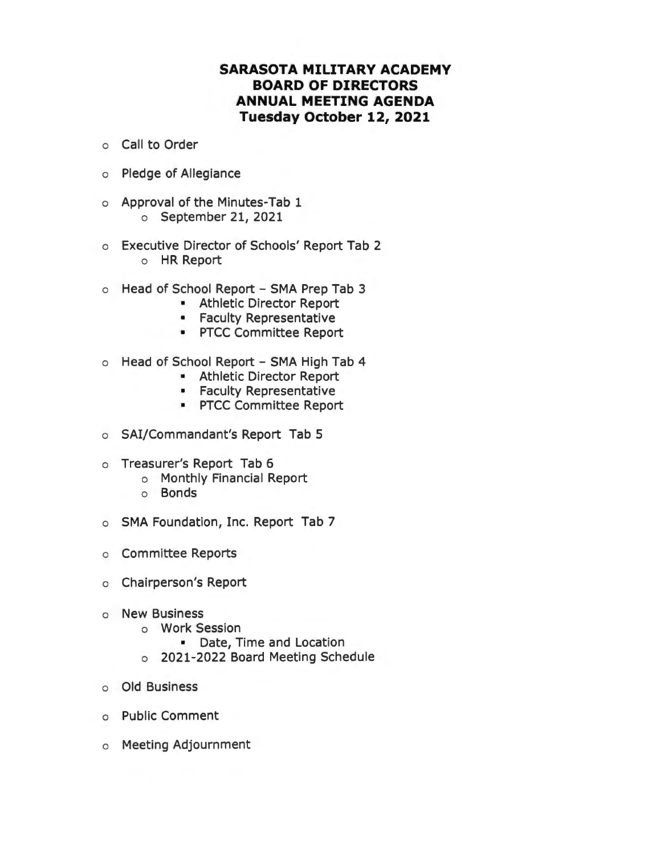#### **SARASOTA MILITARY ACADEMY BOARD OF DIRECTORS ANNUAL MEETING AGENDA Tuesday October 12, 2021**

- o Call to Order
- o Pledge of Allegiance
- o Approval of the Minutes-Tab 1 o September 21, 2021
- o Executive Director of Schools' Report Tab 2 o HR Report
- o Head of School Report SMA Prep Tab 3
	- Athletic Director Report
	- Faculty Representative
	- PTCC Committee Report
- o Head of School Report SMA High Tab 4
	- Athletic Director Report
	- Faculty Representative
	- PTCC Committee Report
- o SAi/Commandant's Report Tab 5
- o Treasurer's Report Tab 6
	- o Monthly Financial Report
	- o Bonds
- o SMA Foundation, Inc. Report Tab 7
- o Committee Reports
- o Chairperson's Report
- o New Business
	- o Work Session
		- Date, Time and Location
	- o 2021-2022 Board Meeting Schedule
- o Old Business
- o Public Comment
- o Meeting Adjournment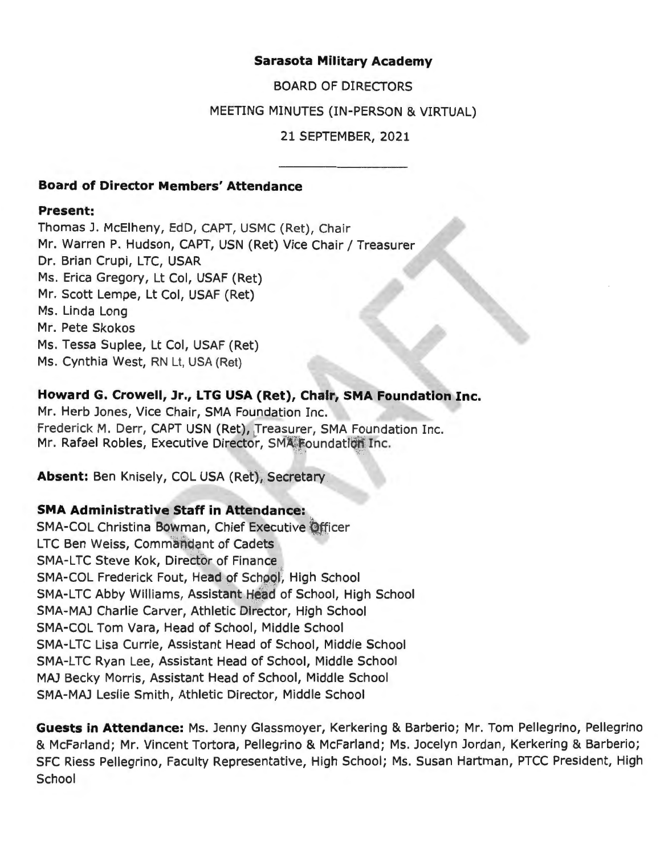#### **Sarasota Military Academy**

BOARD OF DIRECTORS

#### MEETING MINUTES (IN-PERSON & VIRTUAL)

21 SEPTEMBER, 2021

#### **Board of Director Members' Attendance**

#### **Present:**

Thomas J. McElheny, EdD, CAPT, USMC (Ret), Chair Mr. Warren P. Hudson, CAPT, USN (Ret) Vice Chair/ Treasurer Dr. Brian Crupi, LTC, USAR Ms. Erica Gregory, Lt Col, USAF (Ret) Mr. Scott Lempe, Lt Col, USAF (Ret) Ms. Linda Long Mr. Pete Skokos Ms. Tessa Suplee, Lt Col, USAF (Ret) Ms. Cynthia West, RN Lt, USA (Ret)

#### **Howard G. Crowell, Jr., LTG USA (Ret), Chair, SMA Foundation Inc.**

Mr. Herb Jones, Vice Chair, SMA Foundation Inc. Frederick M. Derr, CAPT USN (Ret), Treasurer, SMA Foundation Inc. Mr. Rafael Robles, Executive Director, SMA Foundation Inc.

**Absent:** Ben Knisely, COL USA (Ret), Secretary

#### **SMA Administrative Staff in Attendance:**

SMA-COL Christina Bowman, Chief Executive Officer LTC Ben Weiss, Commandant of Cadets SMA-LTC Steve Kok, Director of Finance SMA-COL Frederick Fout, Head of School, High School SMA-LTC Abby Williams, Assistant Head of School, High School SMA-MAJ Charlie Carver, Athletic Director, High School SMA-COL Tom Vara, Head of School, Middle School SMA-LTC Lisa Currie, Assistant Head of School, Middle School SMA-LTC Ryan Lee, Assistant Head of School, Middle School MAJ Becky Morris, Assistant Head of School, Middle School SMA-MAJ Leslie Smith, Athletic Director, Middle School

**Guests in Attendance:** Ms. Jenny Glassmoyer, Kerkering & Barberio; Mr. Tom Pellegrino, Pellegrino & McFarland; Mr. Vincent Tortora, Pellegrino & McFarland; Ms. Jocelyn Jordan, Kerkering & Barberio; SFC Riess Pellegrino, Faculty Representative, High School; Ms. Susan Hartman, PTCC President, High **School**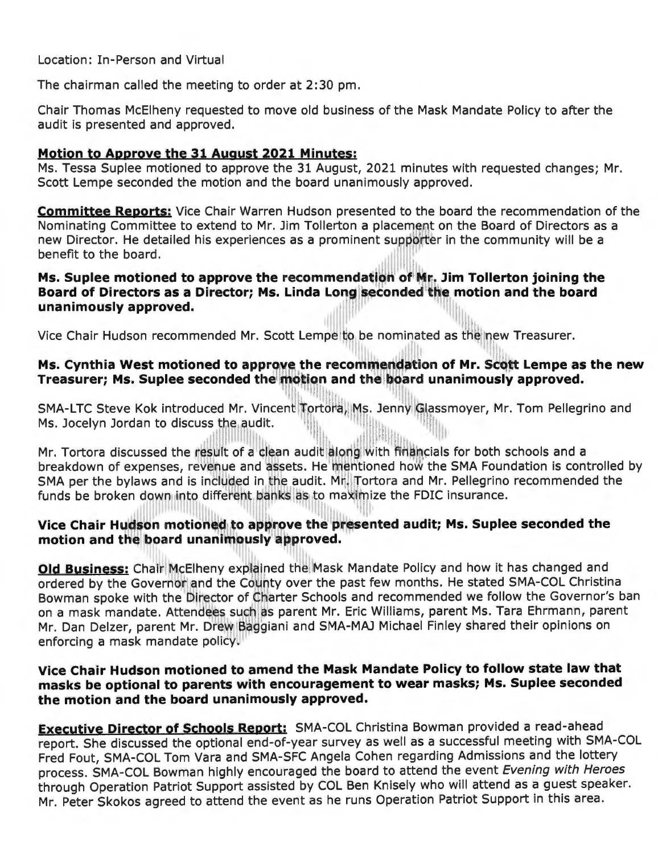Location: In-Person and Virtual

The chairman called the meeting to order at 2:30 pm.

Chair Thomas McElheny requested to move old business of the Mask Mandate Policy to after the audit is presented and approved.

#### **Motion to Approve the 31 August 2021 Minutes:**

Ms. Tessa Suplee motioned to approve the 31 August, 2021 minutes with requested changes; Mr. Scott Lempe seconded the motion and the board unanimously approved.

**Committee Reports:** Vice Chair Warren Hudson presented to the board the recommendation of the Nominating Committee to extend to Mr. Jim Tollerton a placement on the Board of Directors as a new Director. He detailed his experiences as a prominent supporter in the community will be a<br>hanefit to the board benefit to the board. II links<br>II links

# **Ms. Suplee motioned to approve the recommendation of Mr. Jim Tollerton joining the** Board of Directors as a Director; Ms. Linda Long seconded the motion and the board<br>unanimously approved. **unanimously approved.**

11 Vice Chair Hudson recommended Mr. Scott Lempe to be nominated as the new Treasurer.

# **Ms. Cynthia West motioned to approve the recommendation of Mr. Scott Lempe as the new** <br>Treasurer: Mr. Sunke accorded the wiser and the hand unanime using approved Treasurer; Ms. Suplee seconded the motion and the board unanimously approved.

SMA-LTC Steve Kok introduced Mr. Vincent Tortora, Ms. Jenny Glassmoyer, Mr. Tom Pellegrino and Ms. Jocelyn Jordan to discuss the audit. lll!ii

Mr. Tortora discussed the result of a clean audit along with finalncials for both schools and a breakdown of expenses, revenue and assets. He mentioned how the SMA Foundation is controlled by Breakdown or expensely revenue and absett the mathematical new and Shift reditation to contremented the<br>SMA per the bylaws and is included in the audit. Mr. Tortora and Mr. Pellegrino recommended the SMA per the bylaws and is included in the audit. Mr. Tortora and Mr. Pellegrino<br>funds be broken down into different banks as to maximize the FDIC insurance. 1 1

## **Vice Chair Hudson motioned to approve the presented audit; Ms. Suplee seconded the motion and the motion of the motion of**  $\mathbf{r}$ **1100** Chain The Board unanimously approved.

**Old Business:** Chair McElheny explained the Mask Mandate Policy and how it has changed and ordered by the Governor and the County over the past few months. He stated SMA-COL Christina Bowman spoke with the Director of Charter Schools and recommended we follow the Governor's ban Dettitum Sperie Him and the Massach as parent Mr. Eric Williams, parent Ms. Tara Ehrmann, parent Mr. Dan Delzer, parent Mr. Drew Baggiani and SMA-MAJ Michael Finley shared their opinions on<br>enforging a mask mandate policy enforcing a mask mandate policy.

#### **Vice Chair Hudson motioned to amend the Mask Mandate Policy to follow state law that masks be optional to parents with encouragement to wear masks; Ms. Suplee seconded the motion and the board unanimously approved.**

**Executive Director of Schools Report:** SMA-COL Christina Bowman provided a read-ahead report. She discussed the optional end-of-year survey as well as a successful meeting with SMA-COL Fred Fout, SMA-COL Tom Vara and SMA-SFC Angela Cohen regarding Admissions and the lottery process. SMA-COL Bowman highly encouraged the board to attend the event Evening with Heroes through Operation Patriot Support assisted by COL Ben Knisely who will attend as a guest speaker. Mr. Peter Skokos agreed to attend the event as he runs Operation Patriot Support in this area.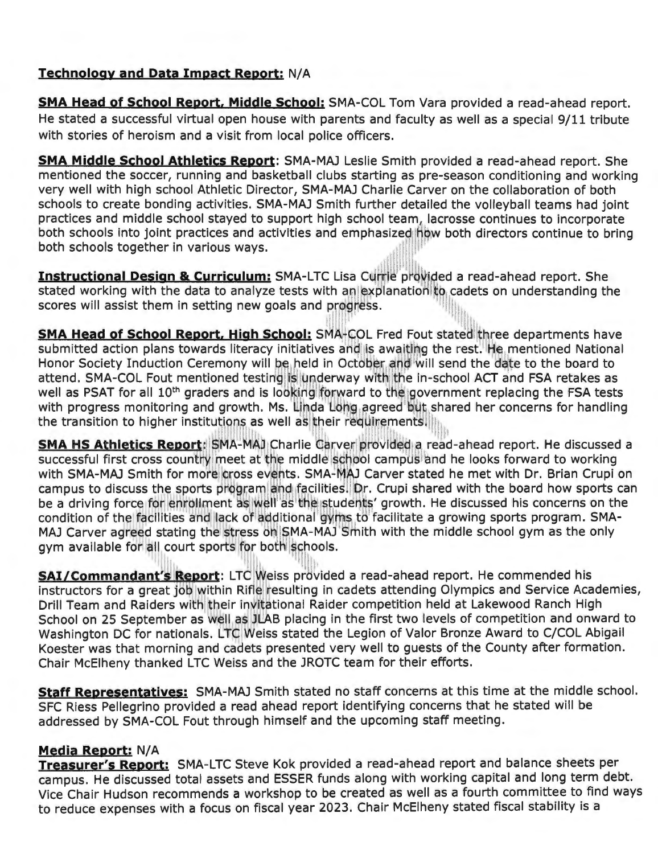#### **Technology and Data Impact Report:** N/A

**SMA Head of School Report, Middle School:** SMA-COL Tom Vara provided a read-ahead report. He stated a successful virtual open house with parents and faculty as well as a special 9/11 tribute with stories of heroism and a visit from local police officers.

**SMA Middle School Athletics Report:** SMA-MAJ Leslie Smith provided a read-ahead report. She mentioned the soccer, running and basketball clubs starting as pre-season conditioning and working very well with high school Athletic Director, SMA-MAJ Charlie Carver on the collaboration of both schools to create bonding activities. SMA-MAJ Smith further detailed the volleyball teams had joint practices and middle school stayed to support high school team, lacrosse continues to incorporate both schools into joint practices and activities and emphasized how both directors continue to bring both schools together in various ways.

**Instructional Design & Curriculum:** SMA-LTC Lisa Currie provided a read-ahead report. She stated working with the data to analyze tests with an explanation to cadets on understanding the Instructional Design & Curriculum: SMA-LTC Lisa Currie provid<br>stated working with the data to analyze tests with an explanation t<br>scores will assist them in setting new goals and progress. 1  $\frac{1}{2}$ 

**SMA Head of School Report, High School:** SMA-COL Fred Fout stated three departments have submitted action plans towards literacy initiatives and is awaiting the rest. He mentioned National submitted action plans towards literacy initiatives and is awaiding the rest. He memoried Nationa<br>Honor Society Induction Ceremony will be held in October and will send the date to the board to attend. SMA-COL Fout mentioned testing is underway with the in-school ACT and FSA retakes as attend. SMA-COL Fout mentioned testing is underway with the in-school ACT and FSA retakes as<br>well as PSAT for all 10<sup>th</sup> graders and is looking forward to the government replacing the FSA tests with progress monitoring and growth. Ms. Linda Long agreed but shared her concerns for handling<br>the transition to bigher institutions as well as their reducements the transition to higher institutions as well as their requir |reed'but sh<br>|rements.|||||<br>!!!!!!

**SMA HS Athletics Report:** SMA-MAJ Charlie Carver provided a read-ahead report. He discussed a successed a series of the discussed a successive first cross country meet at the middle school campus and he looks forward to w successful first cross country meet at the middle school campus and he looks forward to working with SMA-MAJ Smith for more cross events. SMA-MAJ Carver stated he met with Dr. Brian Crupi on campus to discuss the sports program and facilities. Dr. Crupi shared with the board how sports can campus to discuss the sports program and facilities. Dr. Crupi shared with the board now sports ca<br>be a driving force for enrollment as well as the students' growth. He discussed his concerns on the be a driving force for enrollment as well as the students' growth. He discussed his concerns on th<br>condition of the facilities and lack of additional gyms to facilitate a growing sports program. SMA-<br>----------------------MAJ Carver agreed stating the stress on SMA-MAJ Smith with the middle school gym as the only<br>gym available for all court sports for both schools. all court sports for both schools.

 $\ddot{\phantom{a}}$ SAI/Commandant's Report: LTC Weiss provided a read-ahead report. He commended his instructors for a great job within Rifle resulting in cadets attending Olympics and Service Academies, Drill Team and Raiders with their invitational Raider competition held at Lakewood Ranch High School on 25 September as well as JLAB placing in the first two levels of competition and onward to Washington DC for nationals. LTC Weiss stated the Legion of Valor Bronze Award to C/COL Abigail Koester was that morning and cadets presented very well to guests of the County after formation. Chair McElheny thanked LTC Weiss and the JROTC team for their efforts.

**Staff Representatives:** SMA-MAJ Smith stated no staff concerns at this time at the middle school. SFC Riess Pellegrino provided a read ahead report identifying concerns that he stated will be addressed by SMA-COL Fout through himself and the upcoming staff meeting.

#### **Media Report:** N/A

**Treasurer's Report:** SMA-LTC Steve Kok provided a read-ahead report and balance sheets per campus. He discussed total assets and ESSER funds along with working capital and long term debt. Vice Chair Hudson recommends a workshop to be created as well as a fourth committee to find ways to reduce expenses with a focus on fiscal year 2023. Chair McElheny stated fiscal stability is a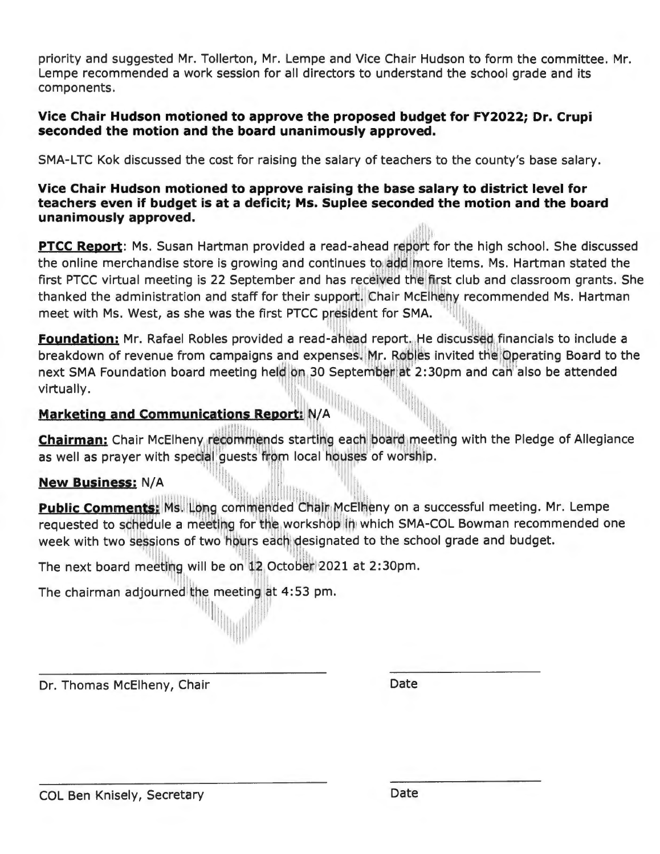priority and suggested Mr. Tollerton, Mr. Lempe and Vice Chair Hudson to form the committee. Mr. Lempe recommended a work session for all directors to understand the school grade and its components.

#### **Vice Chair Hudson motioned to approve the proposed budget for FY2022; Dr. Crupi seconded the motion and the board unanimously approved.**

SMA-LTC Kok discussed the cost for raising the salary of teachers to the county's base salary.

#### **Vice Chair Hudson motioned to approve raising the base salary to district level for teachers even if budget is at a deficit; Ms. Suplee seconded the motion and the board unanimously approved.**

PTCC Report: Ms. Susan Hartman provided a read-ahead report for the high school. She discussed **PTCC Report**: Ms. Susan Hartman provided a read-anead report for the high school. She discusse<br>the online merchandise store is growing and continues to add more items. Ms. Hartman stated the first PTCC virtual meeting is 22 September and has received the first club and classroom grants. She thanked the administration and staff for their support. Chair McElheny recommended Ms. Hartman chanked the administration and staff for their support. Chair McEineny re<br>meet with Ms. West, as she was the first PTCC president for SMA.

**Foundation:** Mr. Rafael Robles provided a read-ahead report. He discussed financials to include a breakdown of revenue from campaigns and expenses. Mr. Robles invited the Operating Board to the next SMA Foundation board meeting held on 30 September at 2:30pm and can also be attended 1 virtually. I in the set of  $\mathbb{P}^1$  is the set of  $\mathbb{P}^1$ 

# **Marketing and Communications Report: N/A**

**Chairman:** Chair McElheny, recommends starting each board meeting with the Pledge of Allegiance **Chairman:** Chair McElheny, recommends starting each board meeting with the Pledge of Allegiance **Chairman:** Chair PicEllieny recommends starting each board infections as well as prayer with special guests from local houses of worship. 11

11111111 1111111

#### **New Business: N/A**

**Public Comments:** Ms. Long commended Chair McElheny on a successful meeting. Mr. Lempe requested to schedule a meeting for the workshop in which SMA-COL Bowman recommended one week with two sessions of two hours each desi l 1111 i 1111 i 1111 i 1111 i 1111 i 1111 i 1111 i 1111 i 1111 i 1111 i 1111 i 1111 i 1111 i 1111 i 1111 i 111

The next board meeting will be on 12 October 2021 at 2:30pm.

**III** 191

i11111111111II

The chairman adjourned the meeting at 4:53 pm. 1

111

Dr. Thomas McElheny, Chair Date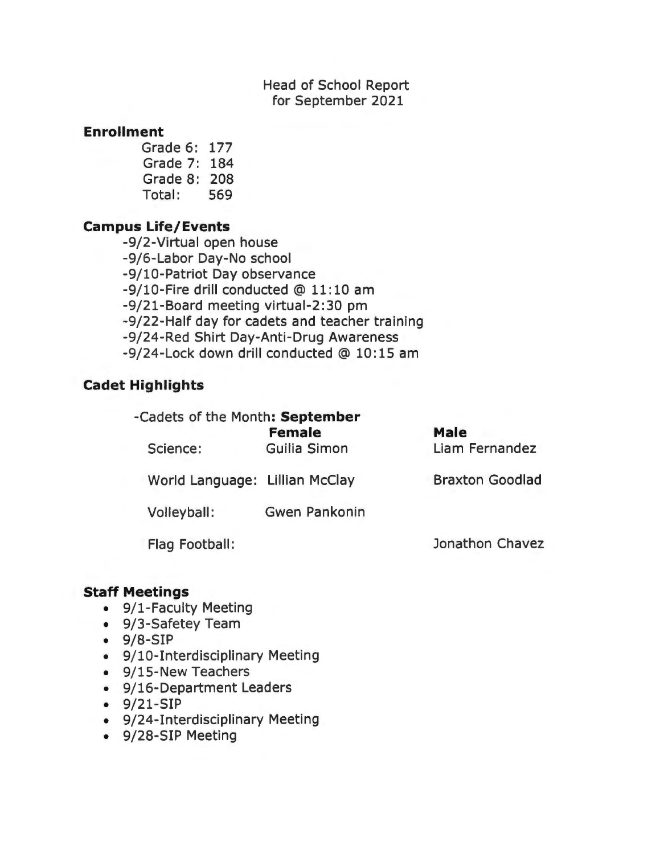Head of School Report for September 2021

#### **Enrollment**

Grade 6: 177 Grade 7: 184 Grade 8: 208 Total: 569

#### **Campus Life/ Events**

-9/2-Virtual open house -9/6-Labor Day-No school -9/10-Patriot Day observance -9/10-Fire drill conducted @ 11: 10 am -9/21-Board meeting virtual-2:30 pm -9/22-Half day for cadets and teacher training -9/24-Red Shirt Day-Anti-Drug Awareness -9/24-Lock down drill conducted @ 10: 15 am

#### **Cadet Highlights**

| -Cadets of the Month: September |                               |                               |  |
|---------------------------------|-------------------------------|-------------------------------|--|
| Science:                        | <b>Female</b><br>Guilia Simon | <b>Male</b><br>Liam Fernandez |  |
| World Language: Lillian McClay  |                               | <b>Braxton Goodlad</b>        |  |
| Volleyball:                     | <b>Gwen Pankonin</b>          |                               |  |
| Flag Football:                  |                               | Jonathon Chavez               |  |

#### **Staff Meetings**

- 9/1-Faculty Meeting
- 9/3-Safetey Team
- 9/8-SIP
- 9/10-Interdisciplinary Meeting
- 9/15-New Teachers
- 9/16-Department Leaders
- 9/21-SIP
- 9/24-Interdisciplinary Meeting
- 9/28-SIP Meeting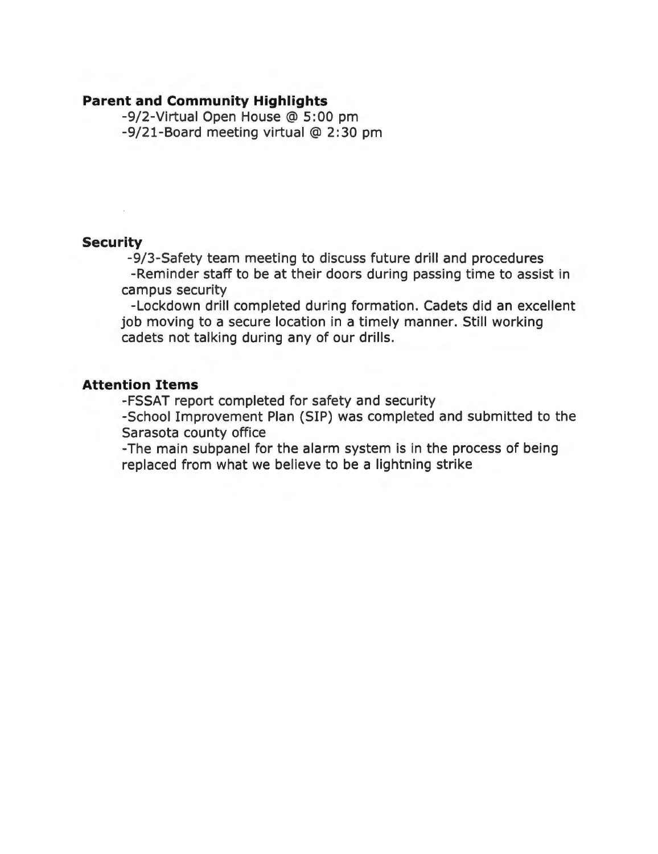#### **Parent and Community Highlights**

-9/2-Virtual Open House @ 5: 00 pm -9/21-Board meeting virtual@ 2:30 pm

#### **Security**

-9/3-Safety team meeting to discuss future drill and procedures -Reminder staff to be at their doors during passing time to assist in campus security

-Lockdown drill completed during formation. Cadets did an excellent job moving to a secure location in a timely manner. Still working cadets not talking during any of our drills.

#### **Attention Items**

-FSSAT report completed for safety and security

-School Improvement Plan (SIP) was completed and submitted to the Sarasota county office

-The main subpanel for the alarm system is in the process of being replaced from what we believe to be a lightning strike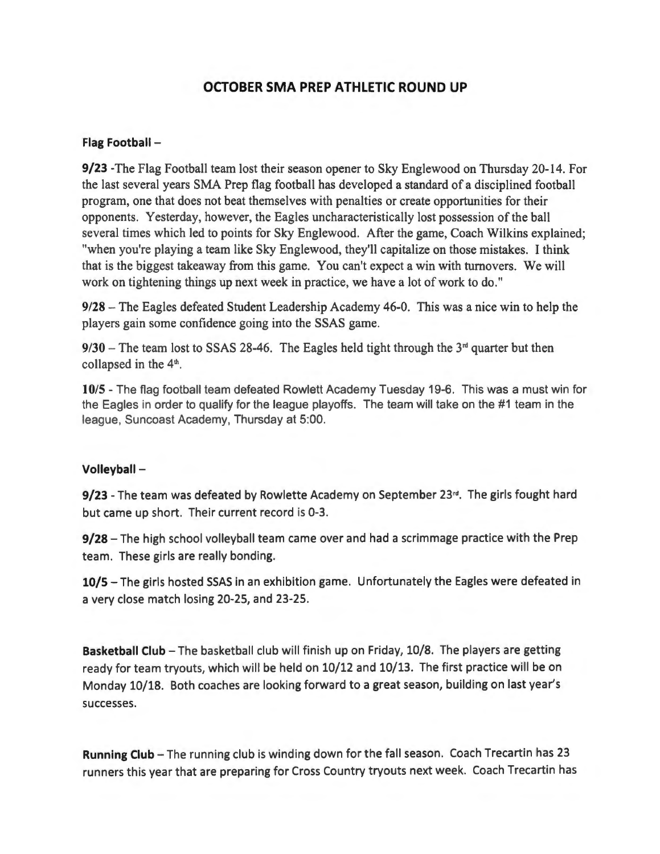#### **OCTOBER SMA PREP ATHLETIC ROUND UP**

#### **Flag Football** -

**9/23** -The Flag Football team lost their season opener to Sky Englewood on Thursday 20-14. For the last several years SMA Prep flag football has developed a standard of a disciplined football program, one that does not beat themselves with penalties or create opportunities for their opponents. Yesterday, however, the Eagles uncharacteristically lost possession of the ball several times which led to points for Sky Englewood. After the game, Coach Wilkins explained; "when you're playing a team like Sky Englewood, they'll capitalize on those mistakes. I think that is the biggest takeaway from this game. You can't expect a win with turnovers. We will work on tightening things up next week in practice, we have a lot of work to do."

**9/28** -The Eagles defeated Student Leadership Academy 46-0. This was a nice win to help the players gain some confidence going into the SSAS game.

 $9/30$  – The team lost to SSAS 28-46. The Eagles held tight through the  $3<sup>rd</sup>$  quarter but then collapsed in the  $4<sup>th</sup>$ .

**10/5** - The flag football team defeated Rowlett Academy Tuesday 19-6. This was a must win for the Eagles in order to qualify for the league playoffs. The team will take on the #1 team in the league, Suncoast Academy, Thursday at 5:00.

#### **Volleyball** -

**9/23** - The team was defeated by Rowlette Academy on September 23<sup>rd</sup>. The girls fought hard but came up short. Their current record is 0-3.

**9/28** – The high school volleyball team came over and had a scrimmage practice with the Prep team. These girls are really bonding.

10/5 - The girls hosted SSAS in an exhibition game. Unfortunately the Eagles were defeated in a very close match losing 20-25, and 23-25.

**Basketball Club** - The basketball club will finish up on Friday, 10/8. The players are getting ready for team tryouts, which will be held on 10/12 and 10/13. The first practice will be on Monday 10/18. Both coaches are looking forward to a great season, building on last year's successes.

Running Club - The running club is winding down for the fall season. Coach Trecartin has 23 runners this year that are preparing for Cross Country tryouts next week. Coach Trecartin has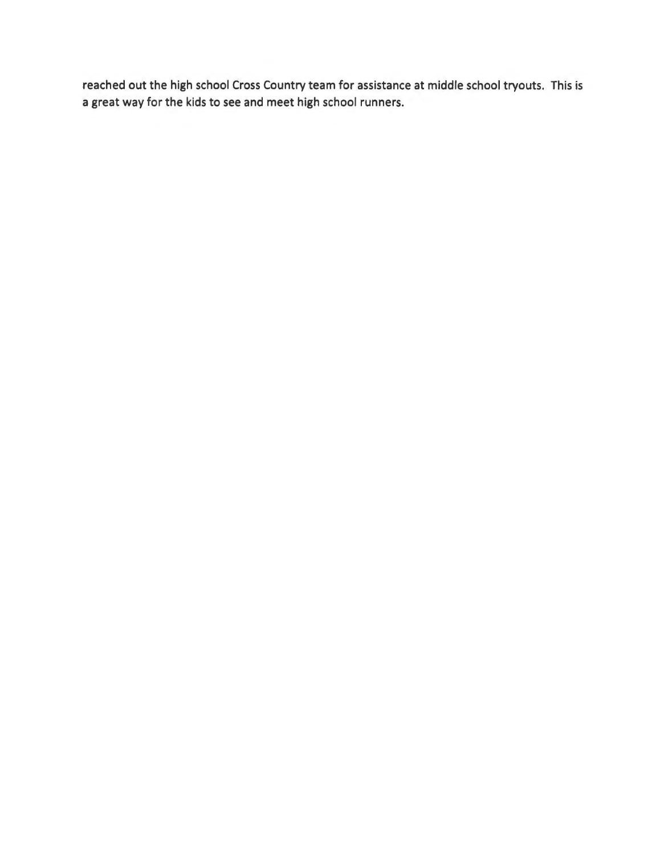reached out the high school Cross Country team for assistance at middle school tryouts. This is a great way for the kids to see and meet high school runners.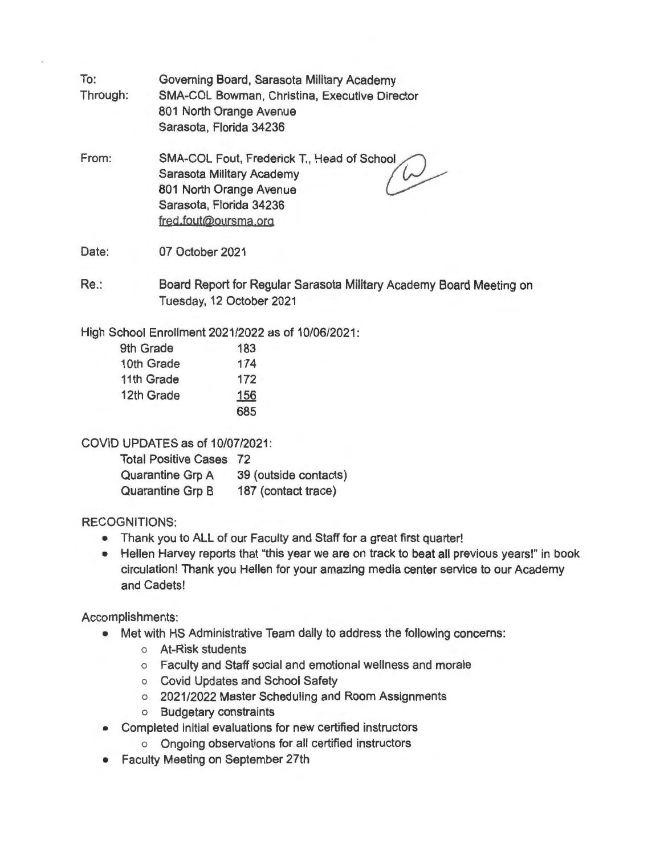- To: Through: Governing Board, Sarasota Military Academy SMA-COL Bowman, Christina, Executive Director 801 North Orange Avenue Sarasota, Florida 34236
- From: SMA-COL Fout, Frederick T., Head of School Sarasota Military Academy 801 North Orange Avenue Sarasota, Florida 34236 fred,fout@oursma.org

Date: 07 October 2021

Re.: Board Report for Regular Sarasota Military Academy Board Meeting on Tuesday, 12 October 2021

High School Enrollment 2021/2022 as of 10/06/2021:

| 9th Grade  | 183 |
|------------|-----|
| 10th Grade | 174 |
| 11th Grade | 172 |
| 12th Grade | 156 |
|            | 685 |

COVID UPDATES as of 10/07/2021:

| <b>Total Positive Cases</b> | 72                    |
|-----------------------------|-----------------------|
| <b>Quarantine Grp A</b>     | 39 (outside contacts) |
| <b>Quarantine Grp B</b>     | 187 (contact trace)   |

#### RECOGNITIONS:

- Thank you to ALL of our Faculty and Staff for a great first quarter!
- Hellen Harvey reports that "this year we are on track to beat all previous years!" in book circulation! Thank you Hellen for your amazing media center service to our Academy and Cadets!

Accomplishments:

- Met with HS Administrative Team daily to address the following concerns:
	- o At-Risk students
	- o Faculty and Staff social and emotional wellness and morale
	- o Covid Updates and School Safety
	- o 2021 /2022 Master Scheduling and Room Assignments
	- o Budgetary constraints
- Completed initial evaluations for new certified instructors
	- o Ongoing observations for all certified instructors
- **Faculty Meeting on September 27th**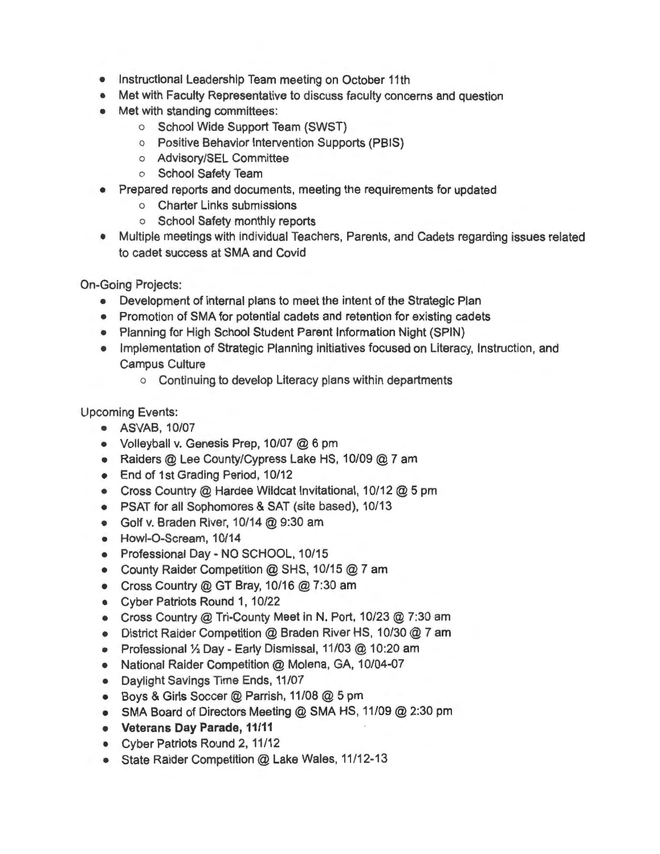- Instructional Leadership Team meeting on October 11th
- Met with Faculty Representative to discuss faculty concerns and question
- Met with standing committees:
	- o School Wide Support Team (SWST)
	- o Positive Behavior Intervention Supports (PSIS)
	- o Advisory/SEL Committee
	- o School Safety Team
- Prepared reports and documents, meeting the requirements for updated
	- o Charter Links submissions
	- o School Safety monthly reports
- Multiple meetings with individual Teachers, Parents, and Cadets regarding issues related to cadet success at SMA and Covid

On-Going Projects:

- Development of internal plans to meet the intent of the Strategic Plan
- Promotion of SMA for potential cadets and retention for existing cadets
- Planning for High School Student Parent Information Night (SPIN)
- Implementation of Strategic Planning initiatives focused on Literacy, Instruction, and Campus Culture
	- o Continuing to develop Literacy plans within departments

Upcoming Events:

- ASVAB, 10/07
- Volleyball v. Genesis Prep, 10/07 @ 6 pm
- Raiders @ Lee County/Cypress Lake HS, 10/09 @ 7 am
- End of 1st Grading Period, 10/12
- Cross Country @ Hardee Wildcat Invitational, 10/12 @ 5 pm
- PSAT for all Sophomores & SAT (site based), 10/13
- Golf v. Braden River, 10/14@ 9:30 am
- Howl-O-Scream, 10/14
- Professional Day NO SCHOOL, 10/15
- County Raider Competition @ SHS, 10/15 @ 7 am
- Cross Country @ GT Bray, 10/16 @ 7:30 am
- Cyber Patriots Round 1, 10/22
- Cross Country@ Tri-County Meet in N. Port, 10/23@ 7:30 am
- District Raider Competition @ Braden River HS, 10/30 @ 7 am
- Professional 1/2 Day Early Dismissal, 11/03 @ 10:20 am
- National Raider Competition @ Molena, GA, 10/04-07
- Daylight Savings Time Ends, 11/07
- Boys & Girls Soccer@ Parrish, 11/08@ 5 pm
- SMA Board of Directors Meeting @ SMA HS, 11/09 @ 2:30 pm
- **Veterans Day Parade, 11/11**
- Cyber Patriots Round 2, 11/12
- State Raider Competition @ Lake Wales, 11/12-13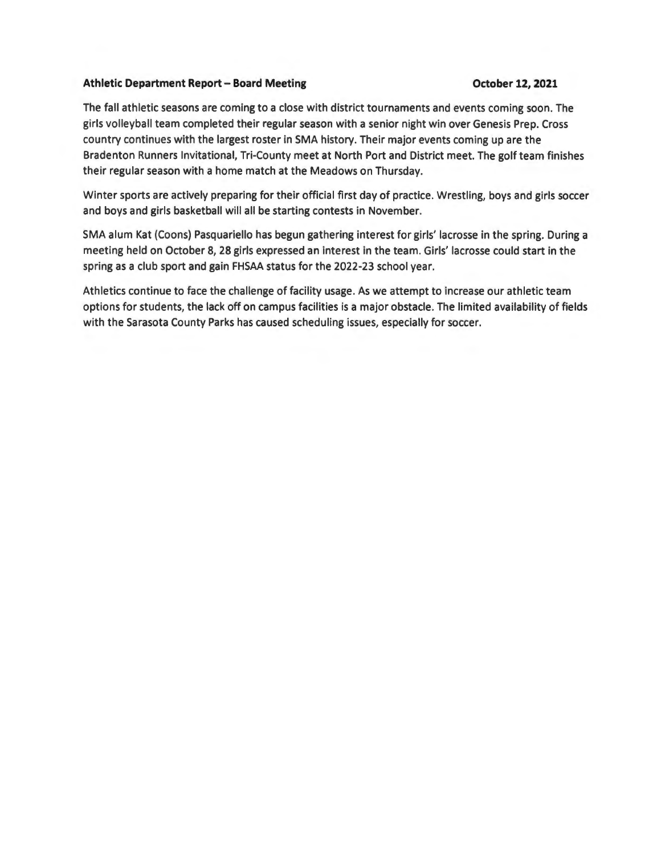#### **Athletic Department Report - Board Meeting October 12, 2021**

The fall athletic seasons are coming to a close with district tournaments and events coming soon. The girls volleyball team completed their regular season with a senior night win over Genesis Prep. Cross country continues with the largest roster in SMA history. Their major events coming up are the Bradenton Runners Invitational, Tri-County meet at North Port and District meet. The golf team finishes their regular season with a home match at the Meadows on Thursday.

Winter sports are actively preparing for their official first day of practice. Wrestling, boys and girls soccer and boys and girls basketball will all be starting contests in November.

SMA alum Kat (Coons) Pasquariello has begun gathering interest for girls' lacrosse in the spring. During a meeting held on October 8, 28 girls expressed an interest in the team. Girls' lacrosse could start in the spring as a club sport and gain FHSAA status for the 2022-23 school year.

Athletics continue to face the challenge of facility usage. As we attempt to increase our athletic team options for students, the lack off on campus facilities is a major obstacle. The limited availability of fields with the Sarasota County Parks has caused scheduling issues, especially for soccer.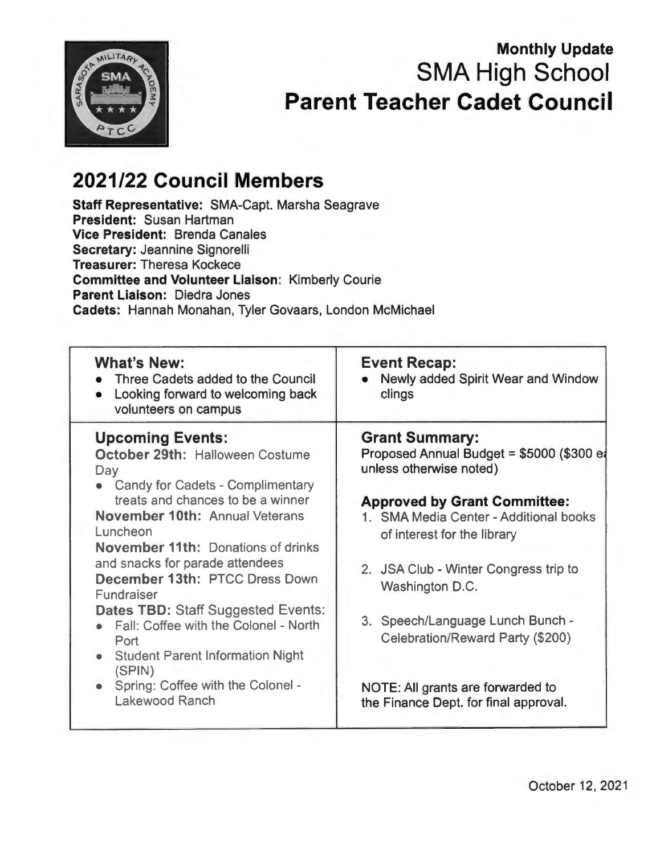

# **Monthly Update SMA High School Parent Teacher Cadet Council**

# **2021/22 Council Members**

**Staff Representative:** SMA-Capt. Marsha Seagrave **President:** Susan Hartman **Vice President:** Brenda Canales **Secretary:** Jeannine Signorelli **Treasurer:** Theresa Kockece **Committee and Volunteer Liaison:** Kimberly Courie **Parent Liaison:** Diedra Jones **Cadets:** Hannah Monahan, Tyler Govaars, London McMichael

| <b>What's New:</b><br>Three Cadets added to the Council<br>Looking forward to welcoming back<br>volunteers on campus                                                                                                                                                                                                                                                                                                                                                                                                                     | <b>Event Recap:</b><br>Newly added Spirit Wear and Window<br>clings                                                                                                                                                                                                                                                                                                                                                             |
|------------------------------------------------------------------------------------------------------------------------------------------------------------------------------------------------------------------------------------------------------------------------------------------------------------------------------------------------------------------------------------------------------------------------------------------------------------------------------------------------------------------------------------------|---------------------------------------------------------------------------------------------------------------------------------------------------------------------------------------------------------------------------------------------------------------------------------------------------------------------------------------------------------------------------------------------------------------------------------|
| <b>Upcoming Events:</b><br>October 29th: Halloween Costume<br>Day<br>• Candy for Cadets - Complimentary<br>treats and chances to be a winner<br><b>November 10th: Annual Veterans</b><br>Luncheon<br><b>November 11th: Donations of drinks</b><br>and snacks for parade attendees<br>December 13th: PTCC Dress Down<br>Fundraiser<br><b>Dates TBD: Staff Suggested Events:</b><br>Fall: Coffee with the Colonel - North<br>Port<br>• Student Parent Information Night<br>(SPIN)<br>• Spring: Coffee with the Colonel -<br>Lakewood Ranch | <b>Grant Summary:</b><br>Proposed Annual Budget = \$5000 (\$300 et<br>unless otherwise noted)<br><b>Approved by Grant Committee:</b><br>1. SMA Media Center - Additional books<br>of interest for the library<br>2. JSA Club - Winter Congress trip to<br>Washington D.C.<br>3. Speech/Language Lunch Bunch -<br>Celebration/Reward Party (\$200)<br>NOTE: All grants are forwarded to<br>the Finance Dept. for final approval. |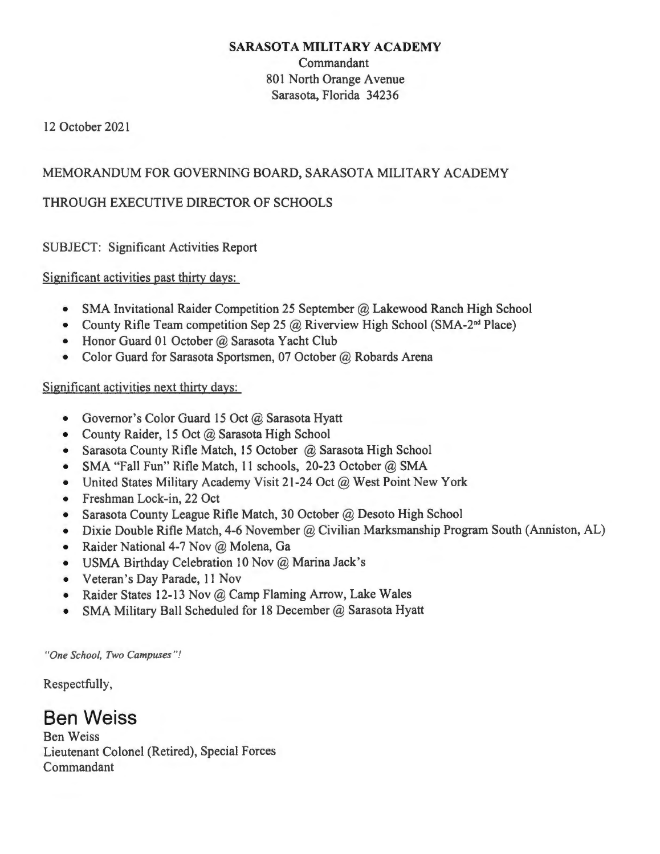#### **SARASOTA MILITARY ACADEMY**

Commandant 801 North Orange Avenue Sarasota, Florida 34236

12 October 2021

#### MEMORANDUM FOR GOVERNING BOARD, SARASOTA MILITARY ACADEMY

#### THROUGH EXECUTIVE DIRECTOR OF SCHOOLS

SUBJECT: Significant Activities Report

Significant activities past thirty days:

- SMA Invitational Raider Competition 25 September @ Lakewood Ranch High School
- County Rifle Team competition Sep 25  $\omega$  Riverview High School (SMA-2<sup>nd</sup> Place)
- Honor Guard 01 October @ Sarasota Yacht Club
- Color Guard for Sarasota Sportsmen, 07 October @ Robards Arena

#### Significant activities next thirty days:

- Governor's Color Guard 15 Oct @ Sarasota Hyatt
- County Raider, 15 Oct @ Sarasota High School
- Sarasota County Rifle Match, 15 October @ Sarasota High School
- SMA "Fall Fun" Rifle Match, 11 schools, 20-23 October @ SMA
- United States Military Academy Visit 21-24 Oct @ West Point New York
- Freshman Lock-in, 22 Oct
- Sarasota County League Rifle Match, 30 October @ Desoto High School
- Dixie Double Rifle Match, 4-6 November @ Civilian Marksmanship Program South (Anniston, AL)
- Raider National 4-7 Nov @ Molena, Ga
- USMA Birthday Celebration 10 Nov @ Marina Jack's
- Veteran's Day Parade, 11 Nov
- Raider States 12-13 Nov @ Camp Flaming Arrow, Lake Wales
- SMA Military Ball Scheduled for 18 December @ Sarasota Hyatt

*"One School, Two Campuses "!* 

Respectfully,

# **Ben Weiss**

Ben Weiss Lieutenant Colonel (Retired), Special Forces Commandant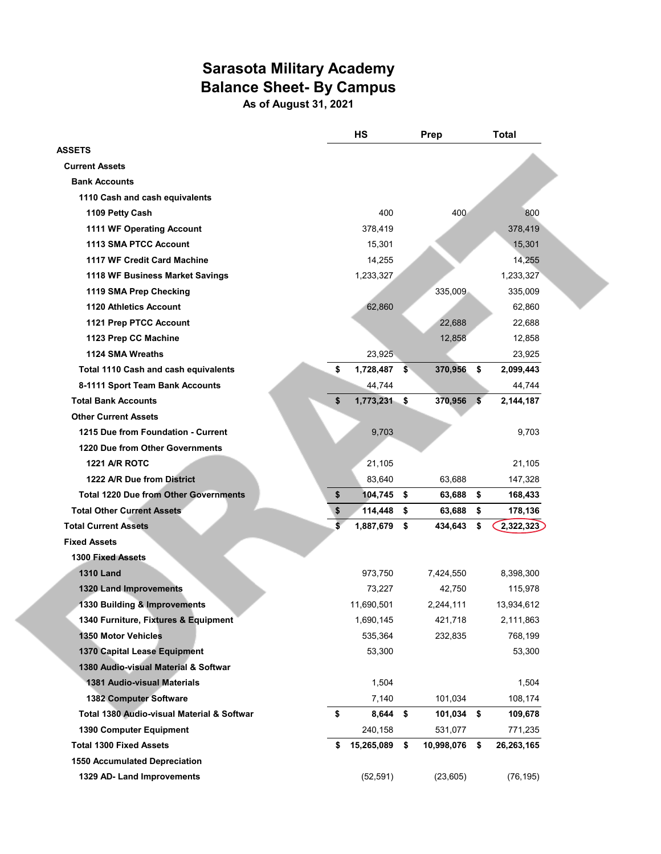# **Sarasota Military Academy Balance Sheet- By Campus**

**As of August 31, 2021**

|                                              | <b>HS</b>            | Prep             | <b>Total</b>     |
|----------------------------------------------|----------------------|------------------|------------------|
| <b>ASSETS</b>                                |                      |                  |                  |
| <b>Current Assets</b>                        |                      |                  |                  |
| <b>Bank Accounts</b>                         |                      |                  |                  |
| 1110 Cash and cash equivalents               |                      |                  |                  |
| 1109 Petty Cash                              | 400                  | 400              | 800              |
| 1111 WF Operating Account                    | 378,419              |                  | 378,419          |
| 1113 SMA PTCC Account                        | 15,301               |                  | 15,301           |
| 1117 WF Credit Card Machine                  | 14,255               |                  | 14,255           |
| 1118 WF Business Market Savings              | 1,233,327            |                  | 1,233,327        |
| 1119 SMA Prep Checking                       |                      | 335,009          | 335,009          |
| <b>1120 Athletics Account</b>                | 62,860               |                  | 62,860           |
| 1121 Prep PTCC Account                       |                      | 22,688           | 22,688           |
| 1123 Prep CC Machine                         |                      | 12,858           | 12,858           |
| 1124 SMA Wreaths                             | 23,925               |                  | 23,925           |
| <b>Total 1110 Cash and cash equivalents</b>  | \$<br>1,728,487      | \$<br>370,956    | \$<br>2,099,443  |
| 8-1111 Sport Team Bank Accounts              | 44,744               |                  | 44,744           |
| <b>Total Bank Accounts</b>                   | \$<br>$1,773,231$ \$ | 370,956          | \$<br>2,144,187  |
| <b>Other Current Assets</b>                  |                      |                  |                  |
| 1215 Due from Foundation - Current           | 9,703                |                  | 9,703            |
| 1220 Due from Other Governments              |                      |                  |                  |
| <b>1221 A/R ROTC</b>                         | 21,105               |                  | 21,105           |
| 1222 A/R Due from District                   | 83,640               | 63,688           | 147,328          |
| <b>Total 1220 Due from Other Governments</b> | \$<br>104,745        | \$<br>63,688     | \$<br>168,433    |
| <b>Total Other Current Assets</b>            | \$<br>114,448        | \$<br>63,688     | \$<br>178,136    |
| <b>Total Current Assets</b>                  | \$<br>1,887,679      | \$<br>434,643    | \$<br>2,322,323  |
| <b>Fixed Assets</b>                          |                      |                  |                  |
| <b>1300 Fixed Assets</b>                     |                      |                  |                  |
| <b>1310 Land</b>                             | 973,750              | 7,424,550        | 8,398,300        |
| 1320 Land Improvements                       | 73,227               | 42,750           | 115,978          |
| 1330 Building & Improvements                 | 11,690,501           | 2,244,111        | 13,934,612       |
| 1340 Furniture, Fixtures & Equipment         | 1,690,145            | 421,718          | 2,111,863        |
| 1350 Motor Vehicles                          | 535,364              | 232,835          | 768,199          |
| 1370 Capital Lease Equipment                 | 53,300               |                  | 53,300           |
| 1380 Audio-visual Material & Softwar         |                      |                  |                  |
| 1381 Audio-visual Materials                  | 1,504                |                  | 1,504            |
| 1382 Computer Software                       | 7,140                | 101,034          | 108,174          |
| Total 1380 Audio-visual Material & Softwar   | \$<br>$8,644$ \$     | 101,034 \$       | 109,678          |
| 1390 Computer Equipment                      | 240,158              | 531,077          | 771,235          |
| <b>Total 1300 Fixed Assets</b>               | \$<br>15,265,089     | \$<br>10,998,076 | \$<br>26,263,165 |
| <b>1550 Accumulated Depreciation</b>         |                      |                  |                  |
| 1329 AD- Land Improvements                   | (52, 591)            | (23,605)         | (76, 195)        |

L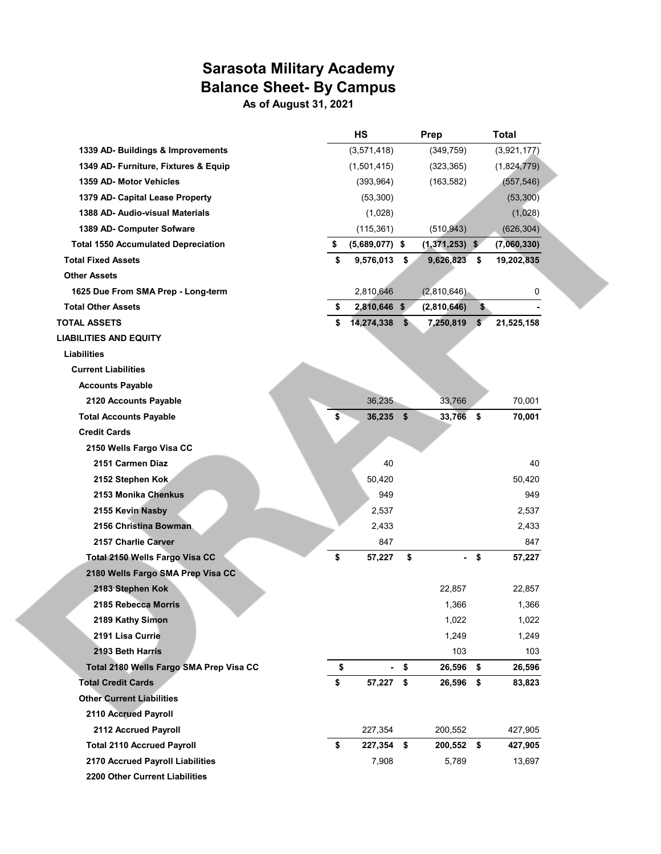# **Sarasota Military Academy Balance Sheet- By Campus**

**As of August 31, 2021**

|                                            | <b>HS</b>              |               | Prep             | <b>Total</b>     |
|--------------------------------------------|------------------------|---------------|------------------|------------------|
| 1339 AD- Buildings & Improvements          | (3,571,418)            |               | (349, 759)       | (3,921,177)      |
| 1349 AD- Furniture, Fixtures & Equip       | (1,501,415)            |               | (323, 365)       | (1,824,779)      |
| 1359 AD- Motor Vehicles                    | (393, 964)             |               | (163, 582)       | (557, 546)       |
| 1379 AD- Capital Lease Property            | (53,300)               |               |                  | (53, 300)        |
| 1388 AD- Audio-visual Materials            | (1,028)                |               |                  | (1,028)          |
| 1389 AD- Computer Sofware                  | (115, 361)             |               | (510, 943)       | (626, 304)       |
| <b>Total 1550 Accumulated Depreciation</b> | \$<br>$(5,689,077)$ \$ |               | $(1,371,253)$ \$ | (7,060,330)      |
| <b>Total Fixed Assets</b>                  | \$<br>9,576,013        | \$            | 9,626,823        | \$<br>19,202,835 |
| <b>Other Assets</b>                        |                        |               |                  |                  |
| 1625 Due From SMA Prep - Long-term         | 2,810,646              |               | (2,810,646)      | 0                |
| <b>Total Other Assets</b>                  | \$<br>2,810,646 \$     |               | (2,810,646)      | \$               |
| TOTAL ASSETS                               | \$<br>14,274,338       | $\mathbf{\$}$ | 7,250,819        | \$<br>21,525,158 |
| <b>LIABILITIES AND EQUITY</b>              |                        |               |                  |                  |
| <b>Liabilities</b>                         |                        |               |                  |                  |
| <b>Current Liabilities</b>                 |                        |               |                  |                  |
| <b>Accounts Payable</b>                    |                        |               |                  |                  |
| 2120 Accounts Payable                      | 36,235                 |               | 33,766           | 70,001           |
| <b>Total Accounts Payable</b>              | \$<br>36,235           | \$            | 33,766           | \$<br>70,001     |
| <b>Credit Cards</b>                        |                        |               |                  |                  |
| 2150 Wells Fargo Visa CC                   |                        |               |                  |                  |
| 2151 Carmen Diaz                           | 40                     |               |                  | 40               |
| 2152 Stephen Kok                           | 50,420                 |               |                  | 50,420           |
| 2153 Monika Chenkus                        | 949                    |               |                  | 949              |
| 2155 Kevin Nasby                           | 2,537                  |               |                  | 2,537            |
| 2156 Christina Bowman                      | 2,433                  |               |                  | 2,433            |
| 2157 Charlie Carver                        | 847                    |               |                  | 847              |
| Total 2150 Wells Fargo Visa CC             | \$<br>57,227           | \$            |                  | \$<br>57,227     |
| 2180 Wells Fargo SMA Prep Visa CC          |                        |               |                  |                  |
| 2183 Stephen Kok                           |                        |               | 22,857           | 22,857           |
| 2185 Rebecca Morris                        |                        |               | 1,366            | 1,366            |
| 2189 Kathy Simon                           |                        |               | 1,022            | 1,022            |
| 2191 Lisa Currie                           |                        |               | 1,249            | 1,249            |
| 2193 Beth Harris                           |                        |               | 103              | 103              |
| Total 2180 Wells Fargo SMA Prep Visa CC    | \$                     | \$            | 26,596           | \$<br>26,596     |
| <b>Total Credit Cards</b>                  | \$<br>57,227           | \$            | 26,596           | \$<br>83,823     |
| <b>Other Current Liabilities</b>           |                        |               |                  |                  |
| 2110 Accrued Payroll                       |                        |               |                  |                  |
| 2112 Accrued Payroll                       | 227,354                |               | 200,552          | 427,905          |
| <b>Total 2110 Accrued Payroll</b>          | \$<br>227,354          | \$            | 200,552          | \$<br>427,905    |
| 2170 Accrued Payroll Liabilities           | 7,908                  |               | 5,789            | 13,697           |
| 2200 Other Current Liabilities             |                        |               |                  |                  |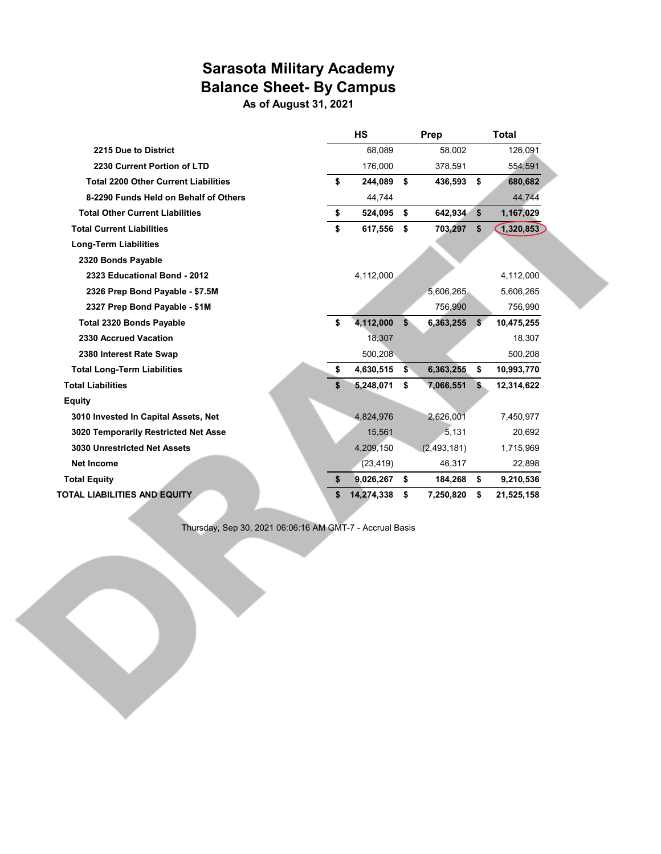# **Sarasota Military Academy Balance Sheet- By Campus**

**As of August 31, 2021**

| <b>HS</b>        | Prep            |     | <b>Total</b> |
|------------------|-----------------|-----|--------------|
| 68,089           | 58,002          |     | 126,091      |
| 176,000          | 378,591         |     | 554,591      |
| \$<br>244,089    | \$<br>436,593   | \$  | 680,682      |
| 44,744           |                 |     | 44,744       |
| \$<br>524,095    | \$<br>642,934   | \$  | 1,167,029    |
| \$<br>617,556    | \$<br>703,297   | \$  | 1,320,853    |
|                  |                 |     |              |
|                  |                 |     |              |
| 4,112,000        |                 |     | 4,112,000    |
|                  | 5,606,265       |     | 5,606,265    |
|                  | 756,990         |     | 756,990      |
| \$<br>4,112,000  | \$<br>6,363,255 | \$  | 10,475,255   |
| 18,307           |                 |     | 18,307       |
| 500,208          |                 |     | 500,208      |
| \$<br>4,630,515  | \$<br>6,363,255 | \$  | 10,993,770   |
| 5,248,071        | \$<br>7,066,551 | \$. | 12,314,622   |
|                  |                 |     |              |
| 4,824,976        | 2,626,001       |     | 7,450,977    |
| 15,561           | 5,131           |     | 20,692       |
| 4,209,150        | (2,493,181)     |     | 1,715,969    |
| (23, 419)        | 46,317          |     | 22,898       |
| \$<br>9,026,267  | \$<br>184,268   | \$  | 9,210,536    |
| \$<br>14,274,338 | \$<br>7,250,820 | \$  | 21,525,158   |
|                  |                 |     |              |

Thursday, Sep 30, 2021 06:06:16 AM GMT-7 - Accrual Basis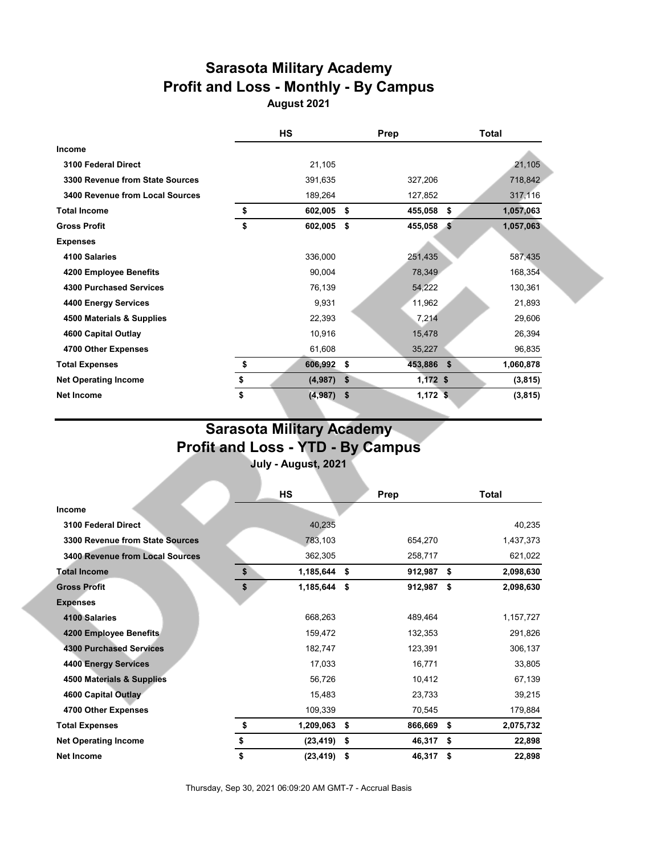# **Sarasota Military Academy Profit and Loss - Monthly - By Campus**

**August 2021**

|                                 | HS               | Prep             | <b>Total</b>    |
|---------------------------------|------------------|------------------|-----------------|
| Income                          |                  |                  |                 |
| 3100 Federal Direct             | 21,105           |                  | 21,105          |
| 3300 Revenue from State Sources | 391,635          | 327,206          | 718,842         |
| 3400 Revenue from Local Sources | 189,264          | 127,852          | 317,116         |
| <b>Total Income</b>             | \$<br>602,005    | \$<br>455,058    | \$<br>1,057,063 |
| <b>Gross Profit</b>             | \$<br>602,005 \$ | 455,058 \$       | 1,057,063       |
| <b>Expenses</b>                 |                  |                  |                 |
| 4100 Salaries                   | 336,000          | 251,435          | 587,435         |
| 4200 Employee Benefits          | 90,004           | 78,349           | 168,354         |
| <b>4300 Purchased Services</b>  | 76,139           | 54,222           | 130,361         |
| 4400 Energy Services            | 9,931            | 11,962           | 21,893          |
| 4500 Materials & Supplies       | 22,393           | 7,214            | 29,606          |
| 4600 Capital Outlay             | 10,916           | 15,478           | 26,394          |
| 4700 Other Expenses             | 61,608           | 35,227           | 96,835          |
| <b>Total Expenses</b>           | \$<br>606,992    | \$<br>453,886 \$ | 1,060,878       |
| <b>Net Operating Income</b>     | \$<br>(4,987)    | \$<br>$1,172$ \$ | (3,815)         |
| <b>Net Income</b>               | \$<br>(4,987)    | \$<br>$1,172$ \$ | (3, 815)        |

# **Sarasota Military Academy Profit and Loss - YTD - By Campus**

**July - August, 2021**

|                                        | HS                 | Prep             |     | Total     |
|----------------------------------------|--------------------|------------------|-----|-----------|
| <b>Income</b>                          |                    |                  |     |           |
| 3100 Federal Direct                    | 40,235             |                  |     | 40,235    |
| 3300 Revenue from State Sources        | 783,103            | 654,270          |     | 1,437,373 |
| <b>3400 Revenue from Local Sources</b> | 362,305            | 258,717          |     | 621,022   |
| <b>Total Income</b>                    | \$<br>1,185,644    | \$<br>912,987 \$ |     | 2,098,630 |
| <b>Gross Profit</b>                    | \$<br>1,185,644 \$ | 912,987 \$       |     | 2,098,630 |
| <b>Expenses</b>                        |                    |                  |     |           |
| 4100 Salaries                          | 668,263            | 489,464          |     | 1,157,727 |
| 4200 Employee Benefits                 | 159,472            | 132,353          |     | 291,826   |
| <b>4300 Purchased Services</b>         | 182,747            | 123,391          |     | 306,137   |
| 4400 Energy Services                   | 17,033             | 16,771           |     | 33,805    |
| 4500 Materials & Supplies              | 56,726             | 10,412           |     | 67,139    |
| 4600 Capital Outlay                    | 15,483             | 23,733           |     | 39,215    |
| 4700 Other Expenses                    | 109,339            | 70,545           |     | 179,884   |
| <b>Total Expenses</b>                  | \$<br>1,209,063    | \$<br>866,669 \$ |     | 2,075,732 |
| <b>Net Operating Income</b>            | \$<br>(23, 419)    | \$<br>46,317     | -\$ | 22,898    |
| <b>Net Income</b>                      | \$<br>(23, 419)    | \$<br>46,317     | \$  | 22,898    |

Thursday, Sep 30, 2021 06:09:20 AM GMT-7 - Accrual Basis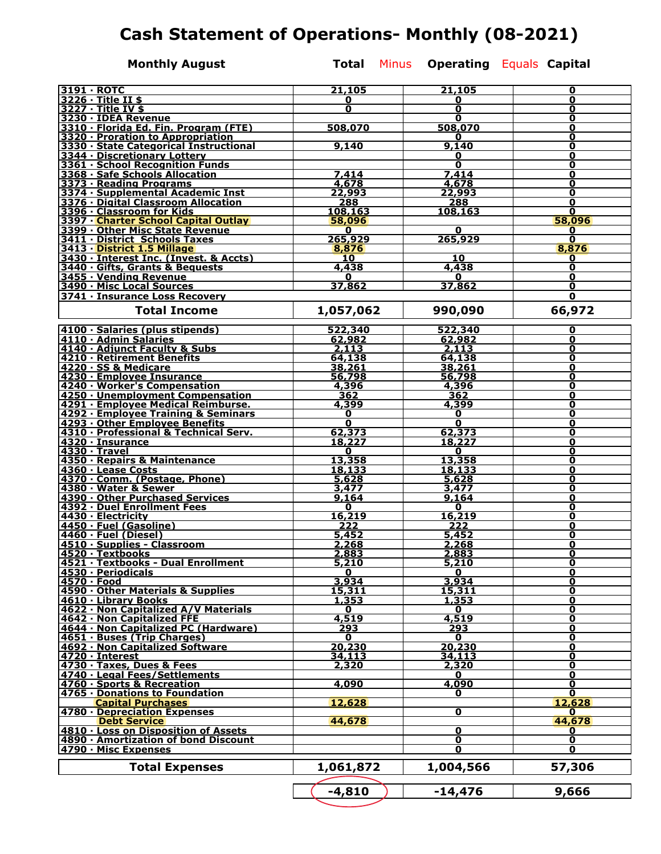# **Cash Statement of Operations- Monthly (08-2021)**

**Monthly August Total Minus Operating Equals Capital** 

| 3191 · ROTC                                                                 | 21,105                  | 21,105                  | 0                            |
|-----------------------------------------------------------------------------|-------------------------|-------------------------|------------------------------|
| $3226 \cdot$ Title II \$                                                    | 0                       | 0                       | 0                            |
| 3227 · Title IV \$                                                          | 0                       | 0                       | 0                            |
| 3230 · IDEA Revenue                                                         |                         | 0                       | 0                            |
| 3310 · Florida Ed. Fin. Program (FTE)                                       | 508,070                 | 508,070                 | 0                            |
| 3320 · Proration to Appropriation<br>3330 · State Categorical Instructional | 9,140                   | 0<br>9,140              | 0<br>0                       |
| 3344 · Discretionary Lottery                                                |                         | 0                       | 0                            |
| 3361 · School Recognition Funds                                             |                         | 0                       | 0                            |
| 3368 · Safe Schools Allocation                                              | 7,414                   | 7,414                   | 0                            |
| 3373 · Reading Programs                                                     | 4,678                   | 4,678                   | 0                            |
| 3374 · Supplemental Academic Inst                                           | 22,993                  | 22,993                  | 0                            |
| 3376 · Digital Classroom Allocation                                         | 288                     | 288                     | 0                            |
| 3396 · Classroom for Kids                                                   | 108.163                 | 108.163                 | $\mathbf{0}$                 |
| 3397 · Charter School Capital Outlay                                        | 58,096                  |                         | 58.096                       |
| 3399 . Other Misc State Revenue                                             | $\mathbf{0}$            | 0                       | $\bf{0}$                     |
| 3411 · District Schools Taxes                                               | 265,929                 | 265,929                 | 0                            |
| 3413 · District 1.5 Millage                                                 | 8,876                   |                         | 8,876                        |
| 3430 · Interest Inc. (Invest. & Accts)<br>3440 · Gifts, Grants & Bequests   | 10<br>4,438             | 10<br>4,438             | 0<br>0                       |
| 3455 · Vending Revenue                                                      | 0                       | 0                       | 0                            |
| 3490 · Misc Local Sources                                                   | 37,862                  | 37,862                  | 0                            |
| 3741 · Insurance Loss Recovery                                              |                         |                         | 0                            |
|                                                                             |                         |                         |                              |
| <b>Total Income</b>                                                         | 1,057,062               | 990,090                 | 66,972                       |
|                                                                             |                         |                         |                              |
| 4100 · Salaries (plus stipends)                                             | 522,340                 | 522,340                 | 0                            |
| 4110 · Admin Salaries                                                       | 62,982                  | 62,982<br>2,113         | 0                            |
| 4140 · Adjunct Faculty & Subs<br>4210 · Retirement Benefits                 | 2,113<br>64,138         |                         | 0<br>0                       |
| 4220 · SS & Medicare                                                        | 38,261                  | 64,138<br>38,261        | 0                            |
| 4230 · Employee Insurance                                                   | 56,798                  | 56,798                  | 0                            |
| 4240 · Worker's Compensation                                                | 4,396                   | 4,396                   | 0                            |
| 4250 · Unemployment Compensation                                            | 362                     | 362                     | 0                            |
| 4291 · Employee Medical Reimburse.                                          | 4,399                   | 4,399                   | 0                            |
| 4292 · Employee Training & Seminars                                         | 0                       | 0                       | 0                            |
| 4293 · Other Employee Benefits                                              | $\overline{\mathbf{o}}$ | Ō                       | 0                            |
| 4310 · Professional & Technical Serv.                                       | 62,373                  | 62,373                  | 0                            |
| 4320 · Insurance                                                            | 18,227                  | 18,227                  | 0                            |
| 4330 · Travel                                                               | 0                       | 0                       | 0                            |
| 4350 · Repairs & Maintenance                                                | 13,358                  | 13,358                  | 0<br>0                       |
| 4360 · Lease Costs<br>4370 · Comm. (Postage, Phone)                         | 18,133<br>5,628         | 18,133<br>5,628         | 0                            |
| 4380 · Water & Sewer                                                        | 3,477                   | 3,477                   | 0                            |
| 4390 · Other Purchased Services                                             | 9,164                   | 9,164                   | 0                            |
| 4392 · Duel Enrollment Fees                                                 | 0                       | 0                       | 0                            |
| 4430 · Electricity                                                          | 16,219                  | 16,219                  | 0                            |
| 4450 · Fuel (Gasoline)                                                      | 222                     | 222                     | 0                            |
| 4460 · Fuel (Diesel)                                                        | 5,452                   | 5,452                   | 0                            |
| 4510 · Supplies - Classroom                                                 | 2,268                   | 2,268                   | Ω                            |
| 4520 · Textbooks                                                            | 2,883                   | 2,883                   | U                            |
| 4521 · Textbooks - Dual Enrollment                                          | 5,210                   | 5,210                   | 0                            |
| 4530 · Periodicals                                                          | 0                       | $\mathbf 0$             | 0                            |
| 4570 · Food<br>4590 · Other Materials & Supplies                            | 3,934<br>15,311         | 3,934<br>15,311         | Ō<br>0                       |
| 4610 · Library Books                                                        | 1,353                   | 1,353                   | $\overline{\mathbf{o}}$      |
| 4622 · Non Capitalized A/V Materials                                        | 0                       | $\mathbf 0$             | $\overline{\mathbf{o}}$      |
| 4642 · Non Capitalized FFE                                                  | 4,519                   | 4,519                   | $\overline{\mathbf{0}}$      |
| 4644 · Non Capitalized PC (Hardware)                                        | 293                     | 293                     | 0                            |
| 4651 · Buses (Trip Charges)                                                 | 0                       | 0                       | 0                            |
| 4692 · Non Capitalized Software                                             | 20,230                  | 20,230                  | 0                            |
| 4720 · Interest                                                             | 34,113                  | 34,113                  | Ō                            |
| 4730 · Taxes, Dues & Fees                                                   | 2,320                   | 2,320                   | $\overline{\mathbf{o}}$      |
| 4740 · Legal Fees/Settlements                                               |                         | 0                       | 0                            |
| 4760 · Sports & Recreation<br>4765 · Donations to Foundation                | 4,090                   | 4,090<br>0              | $\overline{\mathbf{0}}$<br>0 |
| <b>Capital Purchases</b>                                                    | 12,628                  |                         | 12,628                       |
| 4780 · Depreciation Expenses                                                |                         | 0                       | 0                            |
| <b>Debt Service</b>                                                         | 44,678                  |                         | 44,678                       |
| 4810 · Loss on Disposition of Assets                                        |                         | $\overline{\mathbf{0}}$ | 0                            |
| 4890 · Amortization of bond Discount                                        |                         | 0                       | $\overline{\mathbf{o}}$      |
| 4790 · Misc Expenses                                                        |                         | 0                       | 0                            |
|                                                                             |                         |                         |                              |
| <b>Total Expenses</b>                                                       | 1,061,872               | 1,004,566               | 57,306                       |
|                                                                             |                         |                         |                              |
|                                                                             | $-4,810$                | $-14,476$               | 9,666                        |
|                                                                             |                         |                         |                              |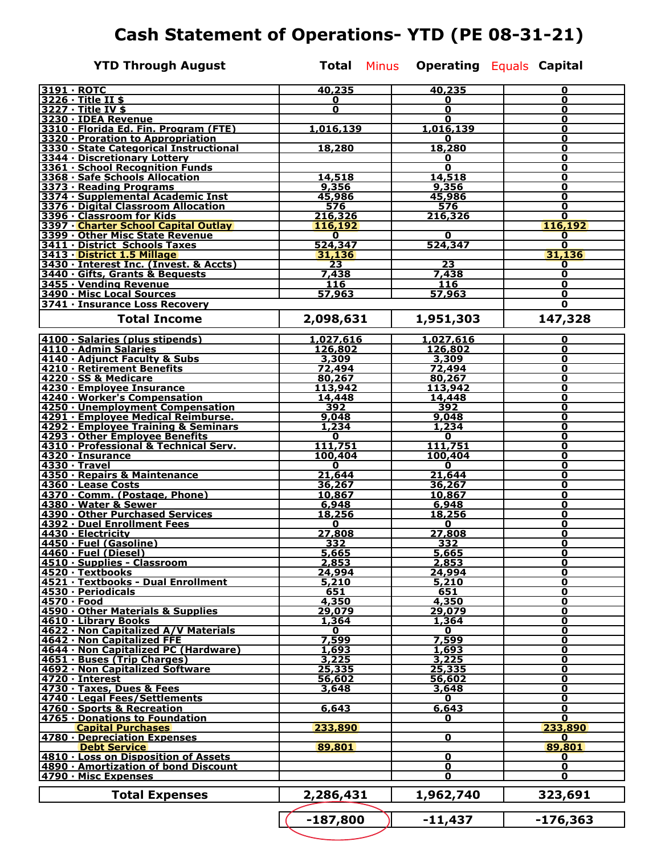# **Cash Statement of Operations- YTD (PE 08-31-21)**

**YTD Through August Total** Minus **Operating Equals Capital** 

| 3191 · ROTC                                                                  | 40,235           | 40,235                  | 0                          |
|------------------------------------------------------------------------------|------------------|-------------------------|----------------------------|
| 3226 · Title II \$                                                           | 0                | 0                       | 0                          |
| 3227 · Title IV \$                                                           | O                | 0                       | 0                          |
| 3230 · IDEA Revenue                                                          |                  | 0                       | 0                          |
| 3310 · Florida Ed. Fin. Program (FTE)                                        | 1,016,139        | 1,016,139               | 0                          |
| 3320 · Proration to Appropriation                                            |                  | 0                       | 0                          |
| 3330 · State Categorical Instructional<br>3344 · Discretionary Lottery       | 18,280           | 18,280<br>0             | 0<br>0                     |
| 3361 · School Recognition Funds                                              |                  | 0                       | 0                          |
| 3368 · Safe Schools Allocation                                               | 14,518           | 14,518                  | 0                          |
| 3373 · Reading Programs                                                      | 9,356            | 9,356                   | 0                          |
| 3374 · Supplemental Academic Inst                                            | 45,986           | 45,986                  | 0                          |
| 3376 · Digital Classroom Allocation                                          | 576              | 576                     | 0                          |
| 3396 · Classroom for Kids                                                    | 216,326          | 216,326                 | 0                          |
| 3397 · Charter School Capital Outlay                                         | 116,192          |                         | 116,192                    |
| 3399 . Other Misc State Revenue                                              | $\mathbf 0$      | 0                       | 0                          |
| 3411 · District Schools Taxes                                                | 524,347          | 524,347                 | 0                          |
| 3413 · District 1.5 Millage                                                  | 31,136           |                         | 31,136                     |
| 3430 · Interest Inc. (Invest. & Accts)<br>3440 · Gifts, Grants & Bequests    | 23               | $\overline{23}$         | 0<br>0                     |
| 3455 · Vending Revenue                                                       | 7,438<br>116     | 7,438<br>116            | 0                          |
| 3490 · Misc Local Sources                                                    | 57,963           | 57,963                  | 0                          |
| 3741 · Insurance Loss Recovery                                               |                  |                         | $\mathbf 0$                |
|                                                                              |                  |                         |                            |
| <b>Total Income</b>                                                          | 2,098,631        | 1,951,303               | 147,328                    |
|                                                                              |                  |                         |                            |
| 4100 · Salaries (plus stipends)                                              | <u>1,027,616</u> | <u>1,027,616</u>        | 0                          |
| 4110 · Admin Salaries                                                        | 126,802          | 126,802                 | 0                          |
| 4140 · Adjunct Faculty & Subs                                                | 3,309            | 3,309                   | O                          |
| 4210 Retirement Benefits<br>4220 · SS & Medicare                             | 72,494<br>80,267 | 72,494<br>80,267        | 0<br>0                     |
| 4230 · Employee Insurance                                                    | 113,942          | 113,942                 | 0                          |
| 4240 · Worker's Compensation                                                 | 14,448           | 14,448                  | O                          |
| 4250 · Unemployment Compensation                                             | 392              | 392                     | 0                          |
| 4291 · Employee Medical Reimburse.                                           | 9,048            | 9,048                   | 0                          |
| 4292 · Employee Training & Seminars                                          | 1,234            | 1,234                   | 0                          |
| 4293 · Other Employee Benefits                                               | 0                | 0                       | 0                          |
| 4310 · Professional & Technical Serv.                                        | 111,751          | 111,751                 | 0                          |
| 4320 · Insurance                                                             | 100,404          | 100,404                 | 0                          |
| 4330 · Travel                                                                | 0                | 0                       | 0                          |
| 4350 · Repairs & Maintenance                                                 | 21,644           | 21,644                  | 0                          |
| 4360 · Lease Costs<br>4370 · Comm. (Postage, Phone)                          | 36,267           | <u>36,267</u>           | 0<br>0                     |
| 4380 · Water & Sewer                                                         | 10,867<br>6,948  | 10,867<br>6,948         | 0                          |
| 4390 · Other Purchased Services                                              | 18,256           | 18,256                  | 0                          |
| 4392 · Duel Enrollment Fees                                                  | 0                | 0                       | 0                          |
| 4430 · Electricity                                                           | 27,808           | 27,808                  | 0                          |
| 4450 · Fuel (Gasoline)                                                       | 332              | 332                     | 0                          |
| 4460 · Fuel (Diesel)                                                         | 5,665            | 5,665                   | 0                          |
| 4510 · Supplies - Classroom                                                  | 2,853            | 2,853                   | 0                          |
| 4520 · Textbooks                                                             | 24,994           | 24,994                  | $\overline{\mathbf{o}}$    |
| 4521 · Textbooks - Dual Enrollment<br>4530 · Periodicals                     | 5,210            | 5,210                   | 0                          |
|                                                                              | 651              | 651                     | 0                          |
| 4570 · Food                                                                  | 4,350            | 4,350                   | $\mathbf 0$                |
| 4590 · Other Materials & Supplies<br>4610 · Library Books                    | 29,079<br>1,364  | 29,079<br>1,364         | $\mathbf 0$<br>$\mathbf 0$ |
| 4622 · Non Capitalized A/V Materials                                         | 0                | 0                       | $\mathbf 0$                |
|                                                                              | 7,599            | 7,599                   | $\mathbf 0$                |
| 4642 · Non Capitalized FFE<br>4644 · Non Capitalized PC (Hardware)           | 1,693            | 1,693                   | $\overline{\mathbf{o}}$    |
| 4651 · Buses (Trip Charges)                                                  | 3,225            | 3,225                   | $\mathbf 0$                |
| 4692 · Non Capitalized Software                                              | 25,335           | 25,335                  | $\mathbf 0$                |
| 4720 · Interest                                                              | 56,602           | 56,602                  | $\mathbf 0$                |
| 4730 · Taxes, Dues & Fees                                                    | 3,648            | 3,648                   | $\overline{\mathbf{0}}$    |
| 4740 · Legal Fees/Settlements                                                |                  | 0                       | $\mathbf 0$                |
| 4760 · Sports & Recreation                                                   | 6,643            | 6,643                   | $\overline{\mathbf{0}}$    |
| 4765 · Donations to Foundation                                               |                  | 0                       | 0                          |
| <b>Capital Purchases</b><br>4780 · Depreciation Expenses                     | 233,890          |                         | 233,890                    |
| <b>Debt Service</b>                                                          |                  | $\mathbf 0$             | 0<br>89,801                |
|                                                                              | 89,801           | $\overline{\mathbf{0}}$ | 0                          |
| 4810 · Loss on Disposition of Assets<br>4890 · Amortization of bond Discount |                  | $\mathbf 0$             | $\mathbf 0$                |
| 4790 · Misc Expenses                                                         |                  | $\mathbf 0$             | 0                          |
|                                                                              |                  |                         |                            |
| <b>Total Expenses</b>                                                        | 2,286,431        | 1,962,740               | 323,691                    |
|                                                                              | $-187,800$       | $-11,437$               | $-176,363$                 |